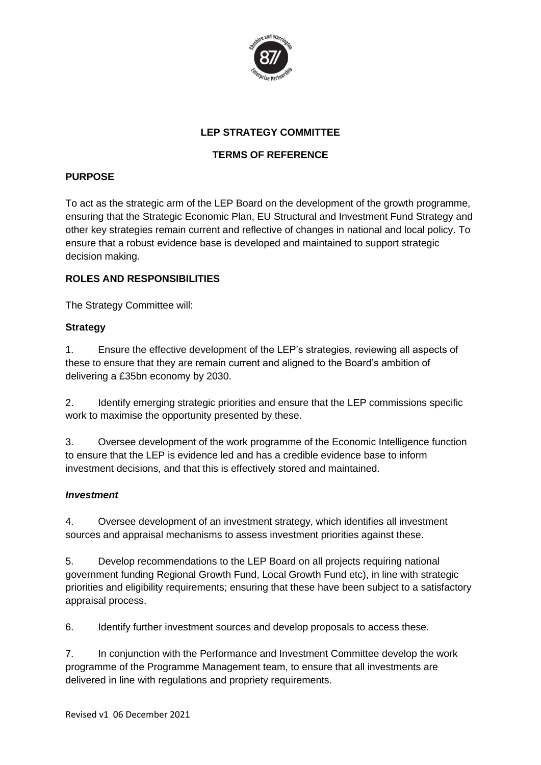

# **LEP STRATEGY COMMITTEE**

# **TERMS OF REFERENCE**

### **PURPOSE**

To act as the strategic arm of the LEP Board on the development of the growth programme, ensuring that the Strategic Economic Plan, EU Structural and Investment Fund Strategy and other key strategies remain current and reflective of changes in national and local policy. To ensure that a robust evidence base is developed and maintained to support strategic decision making.

## **ROLES AND RESPONSIBILITIES**

The Strategy Committee will:

#### **Strategy**

1. Ensure the effective development of the LEP's strategies, reviewing all aspects of these to ensure that they are remain current and aligned to the Board's ambition of delivering a £35bn economy by 2030.

2. Identify emerging strategic priorities and ensure that the LEP commissions specific work to maximise the opportunity presented by these.

3. Oversee development of the work programme of the Economic Intelligence function to ensure that the LEP is evidence led and has a credible evidence base to inform investment decisions, and that this is effectively stored and maintained.

#### *Investment*

4. Oversee development of an investment strategy, which identifies all investment sources and appraisal mechanisms to assess investment priorities against these.

5. Develop recommendations to the LEP Board on all projects requiring national government funding Regional Growth Fund, Local Growth Fund etc), in line with strategic priorities and eligibility requirements; ensuring that these have been subject to a satisfactory appraisal process.

6. Identify further investment sources and develop proposals to access these.

7. In conjunction with the Performance and Investment Committee develop the work programme of the Programme Management team, to ensure that all investments are delivered in line with regulations and propriety requirements.